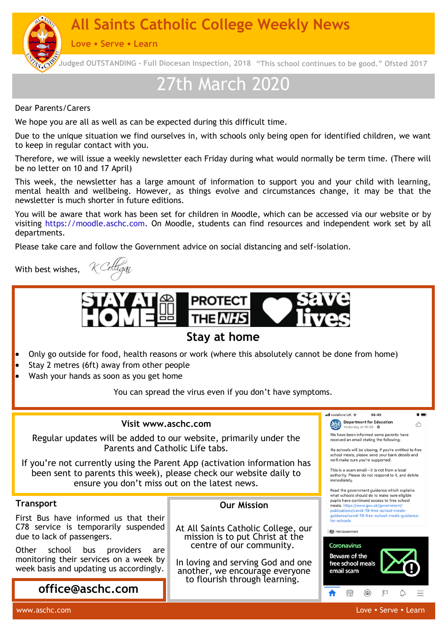**NEWSLETTER IS All Saints Catholic College Weekly News** 

**Love Serve Learn**

**Judged OUTSTANDING - Full Diocesan Inspection, 2018 "This school continues to be good." Ofsted 2017d**

# 27th March 2020

Dear Parents/Carers

We hope you are all as well as can be expected during this difficult time.

Due to the unique situation we find ourselves in, with schools only being open for identified children, we want to keep in regular contact with you.

Therefore, we will issue a weekly newsletter each Friday during what would normally be term time. (There will be no letter on 10 and 17 April)

This week, the newsletter has a large amount of information to support you and your child with learning, mental health and wellbeing. However, as things evolve and circumstances change, it may be that the newsletter is much shorter in future editions.

You will be aware that work has been set for children in Moodle, which can be accessed via our website or by visiting https://moodle.aschc.com. On Moodle, students can find resources and independent work set by all departments.

Please take care and follow the Government advice on social distancing and self-isolation.

With best wishes,

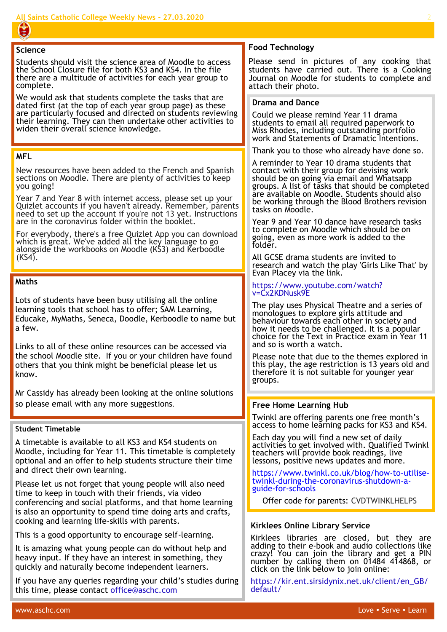#### **Science**

Students should visit the science area of Moodle to access the School Closure file for both KS3 and KS4. In the file there are a multitude of activities for each year group to complete.

We would ask that students complete the tasks that are dated first (at the top of each year group page) as these are particularly focused and directed on students reviewing their learning. They can then undertake other activities to widen their overall science knowledge.

#### **MFL**

New resources have been added to the French and Spanish sections on Moodle. There are plenty of activities to keep you going!

Year 7 and Year 8 with internet access, please set up your Quizlet accounts if you haven't already. Remember, parents need to set up the account if you're not 13 yet. Instructions are in the coronavirus folder within the booklet.

For everybody, there's a free Quizlet App you can download which is great. We've added all the key language to go alongside the workbooks on Moodle (KS3) and Kerboodle  $(KS4)$ .

#### **Maths**

Lots of students have been busy utilising all the online learning tools that school has to offer; SAM Learning, Educake, MyMaths, Seneca, Doodle, Kerboodle to name but a few.

Links to all of these online resources can be accessed via the school Moodle site. If you or your children have found others that you think might be beneficial please let us know.

Mr Cassidy has already been looking at the online solutions so please email with any more suggestions. **Fig. 1. If the Home Learning Hub** 

#### **Student Timetable**

A timetable is available to all KS3 and KS4 students on Moodle, including for Year 11. This timetable is completely optional and an offer to help students structure their time and direct their own learning.

Please let us not forget that young people will also need time to keep in touch with their friends, via video conferencing and social platforms, and that home learning is also an opportunity to spend time doing arts and crafts, cooking and learning life-skills with parents.

This is a good opportunity to encourage self-learning.

It is amazing what young people can do without help and heavy input. If they have an interest in something, they quickly and naturally become independent learners.

If you have any queries regarding your child's studies during this time, please contact office@aschc.com

#### **Food Technology**

Please send in pictures of any cooking that students have carried out. There is a Cooking Journal on Moodle for students to complete and attach their photo.

#### **Drama and Dance**

Could we please remind Year 11 drama students to email all required paperwork to Miss Rhodes, including outstanding portfolio work and Statements of Dramatic Intentions.

Thank you to those who already have done so.

A reminder to Year 10 drama students that contact with their group for devising work should be on going via email and Whatsapp groups. A list of tasks that should be completed are available on Moodle. Students should also be working through the Blood Brothers revision tasks on Moodle.

Year 9 and Year 10 dance have research tasks to complete on Moodle which should be on going, even as more work is added to the folder.

All GCSE drama students are invited to research and watch the play 'Girls Like That' by Evan Placey via the link.

#### [https://www.youtube.com/watch?](https://www.youtube.com/watch?v=Cx2KDNusk9E) [v=Cx2KDNusk9E](https://www.youtube.com/watch?v=Cx2KDNusk9E)

The play uses Physical Theatre and a series of monologues to explore girls attitude and behaviour towards each other in society and how it needs to be challenged. It is a popular choice for the Text in Practice exam in Year 11 and so is worth a watch.

Please note that due to the themes explored in this play, the age restriction is 13 years old and therefore it is not suitable for younger year groups.

Twinkl are offering parents one free month's access to home learning packs for KS3 and KS4.

Each day you will find a new set of daily activities to get involved with. Qualified Twinkl teachers will provide book readings, live lessons, positive news updates and more.

[https://www.twinkl.co.uk/blog/how](https://www.twinkl.co.uk/blog/how-to-utilise-twinkl-during-the-coronavirus-shutdown-a-guide-for-schools)-to-utilisetwinkl-during-the-[coronavirus](https://www.twinkl.co.uk/blog/how-to-utilise-twinkl-during-the-coronavirus-shutdown-a-guide-for-schools)-shutdown-aguide-for-[schools](https://www.twinkl.co.uk/blog/how-to-utilise-twinkl-during-the-coronavirus-shutdown-a-guide-for-schools)

Offer code for parents: CVDTWINKLHELPS

#### **Kirklees Online Library Service**

Kirklees libraries are closed, but they are adding to their e-book and audio collections like crazy! You can join the library and get a PIN number by calling them on 01484 414868, or click on the link below to join online:

https://kir.ent.sirsidynix.net.uk/client/en\_GB/ default/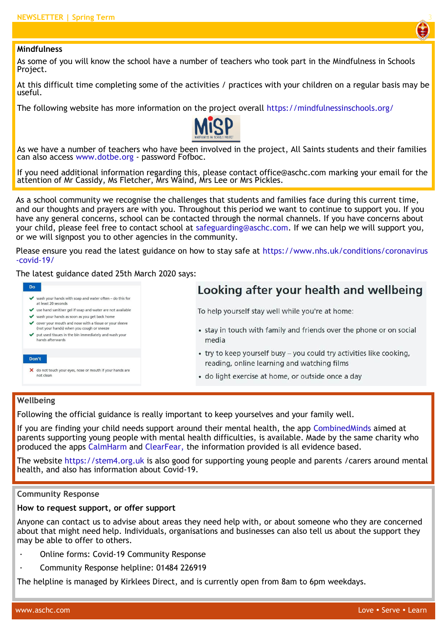

#### **Mindfulness**

As some of you will know the school have a number of teachers who took part in the Mindfulness in Schools Project.

At this difficult time completing some of the activities / practices with your children on a regular basis may be useful.

The following website has more information on the project overall https://mindfulnessinschools.org/



As we have a number of teachers who have been involved in the project, All Saints students and their families can also access www.dotbe.org - password Fofboc.

If you need additional information regarding this, please contact office@aschc.com marking your email for the attention of Mr Cassidy, Ms Fletcher, Mrs Waind, Mrs Lee or Mrs Pickles.

As a school community we recognise the challenges that students and families face during this current time, and our thoughts and prayers are with you. Throughout this period we want to continue to support you. If you have any general concerns, school can be contacted through the normal channels. If you have concerns about your child, please feel free to contact school at safeguarding@aschc.com. If we can help we will support you, or we will signpost you to other agencies in the community.

Please ensure you read the latest guidance on how to stay safe at https://www.nhs.uk/conditions/coronavirus -covid-19/

#### The latest guidance dated 25th March 2020 says:

| Looking after your health and wellbeing                              |
|----------------------------------------------------------------------|
|                                                                      |
| To help yourself stay well while you're at home:                     |
|                                                                      |
| • stay in touch with family and friends over the phone or on social  |
| media                                                                |
| • try to keep yourself busy - you could try activities like cooking, |
| reading, online learning and watching films                          |
|                                                                      |
| · do light exercise at home, or outside once a day                   |
|                                                                      |
|                                                                      |
|                                                                      |

#### **Wellbeing**

Following the official guidance is really important to keep yourselves and your family well.

If you are finding your child needs support around their mental health, the app CombinedMinds aimed at parents supporting young people with mental health difficulties, is available. Made by the same charity who produced the apps CalmHarm and ClearFear, the information provided is all evidence based.

The website https://stem4.org.uk is also good for supporting young people and parents /carers around mental health, and also has information about Covid-19.

#### **Community Response**

#### **How to request support, or offer support**

Anyone can contact us to advise about areas they need help with, or about someone who they are concerned about that might need help. Individuals, organisations and businesses can also tell us about the support they may be able to offer to others.

- · Online forms: Covid-19 Community Response
- · Community Response helpline: 01484 226919

The helpline is managed by Kirklees Direct, and is currently open from 8am to 6pm weekdays.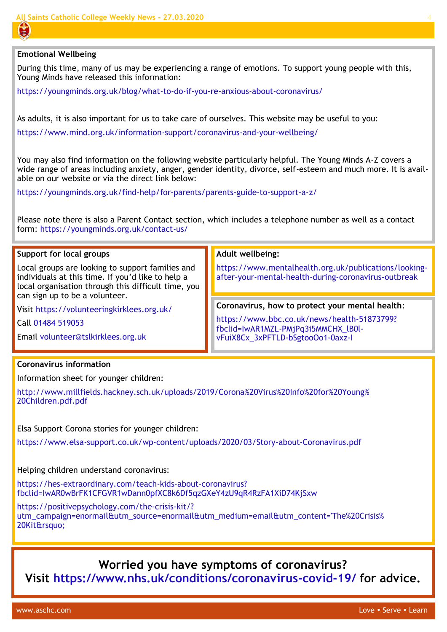#### **Emotional Wellbeing**

During this time, many of us may be experiencing a range of emotions. To support young people with this, Young Minds have released this information:

https://youngminds.org.uk/blog/what-to-do-if-you-re-anxious-about-coronavirus/

As adults, it is also important for us to take care of ourselves. This website may be useful to you:

https://www.mind.org.uk/information-support/coronavirus-and-your-wellbeing/

You may also find information on the following website particularly helpful. The Young Minds A-Z covers a wide range of areas including anxiety, anger, gender identity, divorce, self-esteem and much more. It is available on our website or via the direct link below:

https://youngminds.org.uk/find-help/for-parents/parents-guide-to-support-a-z/

Please note there is also a Parent Contact section, which includes a telephone number as well as a contact form: https://youngminds.org.uk/contact-us/

#### **Support for local groups**

Local groups are looking to support families and individuals at this time. If you'd like to help a local organisation through this difficult time, you can sign up to be a volunteer.

Visit https://volunteeringkirklees.org.uk/

Call 01484 519053

Email volunteer@tslkirklees.org.uk

#### **Adult wellbeing:**

https://www.mentalhealth.org.uk/publications/lookingafter-your-mental-health-during-coronavirus-outbreak

#### **Coronavirus, how to protect your mental health**:

https://www.bbc.co.uk/news/health-51873799? fbclid=IwAR1MZL-PMjPq3i5MMCHX\_lB0lvFuiX8Cx\_3xPFTLD-bSgtooOo1-0axz-I

#### **Coronavirus information**

Information sheet for younger children:

http://www.millfields.hackney.sch.uk/uploads/2019/Corona%20Virus%20Info%20for%20Young% 20Children.pdf.pdf

Elsa Support Corona stories for younger children:

https://www.elsa-support.co.uk/wp-content/uploads/2020/03/Story-about-Coronavirus.pdf

Helping children understand coronavirus:

https://hes-extraordinary.com/teach-kids-about-coronavirus? fbclid=IwAR0wBrFK1CFGVR1wDann0pfXC8k6Df5qzGXeY4zU9qR4RzFA1XiD74KjSxw

https://positivepsychology.com/the-crisis-kit/? utm\_campaign=enormail&utm\_source=enormail&utm\_medium=email&utm\_content='The%20Crisis% 20Kit'

# **Worried you have symptoms of coronavirus?**

**Visit https://www.nhs.uk/conditions/coronavirus-covid-19/ for advice.**